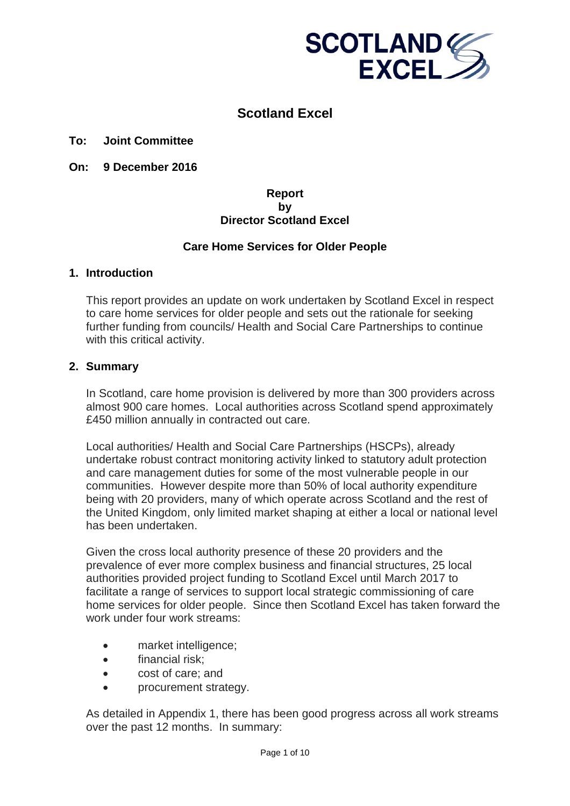

# **Scotland Excel**

#### **To: Joint Committee**

**On: 9 December 2016** 

#### **Report by Director Scotland Excel**

#### **Care Home Services for Older People**

#### **1. Introduction**

This report provides an update on work undertaken by Scotland Excel in respect to care home services for older people and sets out the rationale for seeking further funding from councils/ Health and Social Care Partnerships to continue with this critical activity.

### **2. Summary**

In Scotland, care home provision is delivered by more than 300 providers across almost 900 care homes. Local authorities across Scotland spend approximately £450 million annually in contracted out care.

Local authorities/ Health and Social Care Partnerships (HSCPs), already undertake robust contract monitoring activity linked to statutory adult protection and care management duties for some of the most vulnerable people in our communities. However despite more than 50% of local authority expenditure being with 20 providers, many of which operate across Scotland and the rest of the United Kingdom, only limited market shaping at either a local or national level has been undertaken.

Given the cross local authority presence of these 20 providers and the prevalence of ever more complex business and financial structures, 25 local authorities provided project funding to Scotland Excel until March 2017 to facilitate a range of services to support local strategic commissioning of care home services for older people. Since then Scotland Excel has taken forward the work under four work streams:

- market intelligence;
- financial risk:
- cost of care; and
- procurement strategy.

As detailed in Appendix 1, there has been good progress across all work streams over the past 12 months. In summary: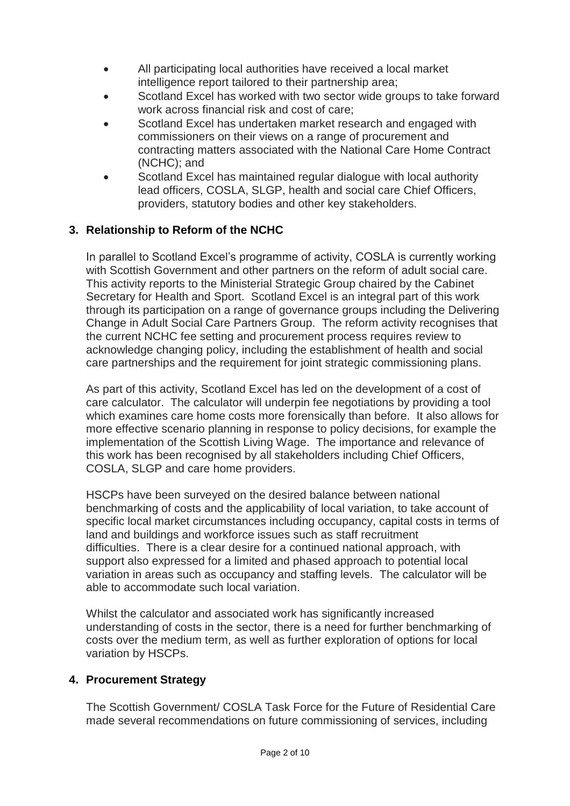- All participating local authorities have received a local market intelligence report tailored to their partnership area;
- Scotland Excel has worked with two sector wide groups to take forward work across financial risk and cost of care;
- Scotland Excel has undertaken market research and engaged with commissioners on their views on a range of procurement and contracting matters associated with the National Care Home Contract (NCHC); and
- Scotland Excel has maintained regular dialogue with local authority lead officers, COSLA, SLGP, health and social care Chief Officers, providers, statutory bodies and other key stakeholders.

# **3. Relationship to Reform of the NCHC**

In parallel to Scotland Excel's programme of activity, COSLA is currently working with Scottish Government and other partners on the reform of adult social care. This activity reports to the Ministerial Strategic Group chaired by the Cabinet Secretary for Health and Sport. Scotland Excel is an integral part of this work through its participation on a range of governance groups including the Delivering Change in Adult Social Care Partners Group. The reform activity recognises that the current NCHC fee setting and procurement process requires review to acknowledge changing policy, including the establishment of health and social care partnerships and the requirement for joint strategic commissioning plans.

As part of this activity, Scotland Excel has led on the development of a cost of care calculator. The calculator will underpin fee negotiations by providing a tool which examines care home costs more forensically than before. It also allows for more effective scenario planning in response to policy decisions, for example the implementation of the Scottish Living Wage. The importance and relevance of this work has been recognised by all stakeholders including Chief Officers, COSLA, SLGP and care home providers.

HSCPs have been surveyed on the desired balance between national benchmarking of costs and the applicability of local variation, to take account of specific local market circumstances including occupancy, capital costs in terms of land and buildings and workforce issues such as staff recruitment difficulties. There is a clear desire for a continued national approach, with support also expressed for a limited and phased approach to potential local variation in areas such as occupancy and staffing levels. The calculator will be able to accommodate such local variation.

Whilst the calculator and associated work has significantly increased understanding of costs in the sector, there is a need for further benchmarking of costs over the medium term, as well as further exploration of options for local variation by HSCPs.

### **4. Procurement Strategy**

The Scottish Government/ COSLA Task Force for the Future of Residential Care made several recommendations on future commissioning of services, including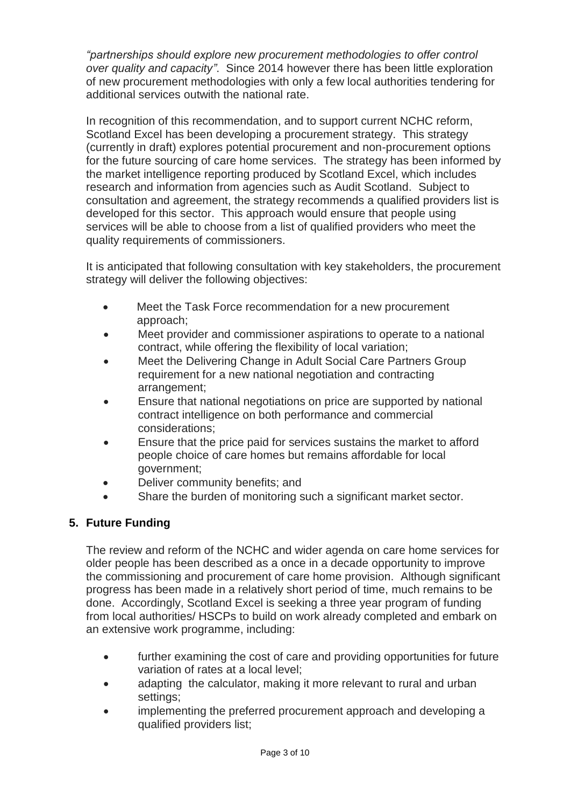*"partnerships should explore new procurement methodologies to offer control over quality and capacity"*. Since 2014 however there has been little exploration of new procurement methodologies with only a few local authorities tendering for additional services outwith the national rate.

In recognition of this recommendation, and to support current NCHC reform, Scotland Excel has been developing a procurement strategy. This strategy (currently in draft) explores potential procurement and non-procurement options for the future sourcing of care home services. The strategy has been informed by the market intelligence reporting produced by Scotland Excel, which includes research and information from agencies such as Audit Scotland. Subject to consultation and agreement, the strategy recommends a qualified providers list is developed for this sector. This approach would ensure that people using services will be able to choose from a list of qualified providers who meet the quality requirements of commissioners.

It is anticipated that following consultation with key stakeholders, the procurement strategy will deliver the following objectives:

- Meet the Task Force recommendation for a new procurement approach;
- Meet provider and commissioner aspirations to operate to a national contract, while offering the flexibility of local variation;
- Meet the Delivering Change in Adult Social Care Partners Group requirement for a new national negotiation and contracting arrangement;
- Ensure that national negotiations on price are supported by national contract intelligence on both performance and commercial considerations;
- Ensure that the price paid for services sustains the market to afford people choice of care homes but remains affordable for local government;
- Deliver community benefits; and
- Share the burden of monitoring such a significant market sector.

# **5. Future Funding**

The review and reform of the NCHC and wider agenda on care home services for older people has been described as a once in a decade opportunity to improve the commissioning and procurement of care home provision. Although significant progress has been made in a relatively short period of time, much remains to be done. Accordingly, Scotland Excel is seeking a three year program of funding from local authorities/ HSCPs to build on work already completed and embark on an extensive work programme, including:

- further examining the cost of care and providing opportunities for future variation of rates at a local level;
- adapting the calculator, making it more relevant to rural and urban settings;
- implementing the preferred procurement approach and developing a qualified providers list;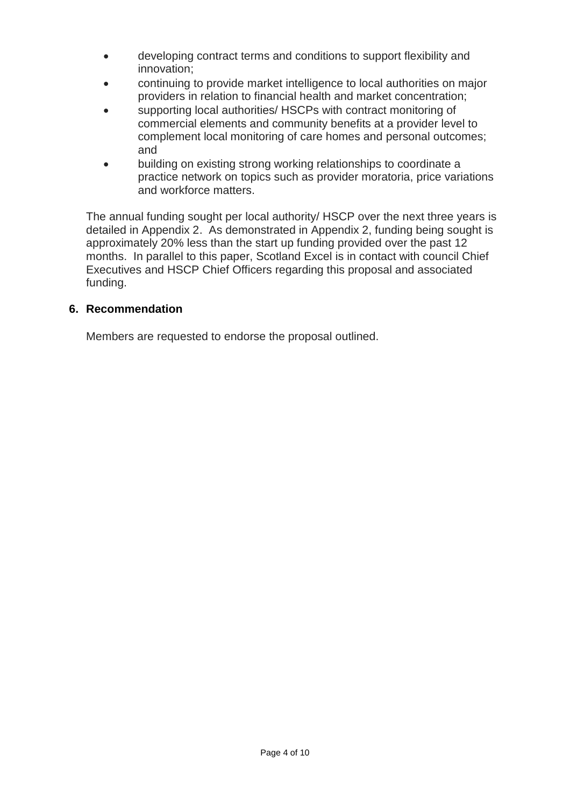- developing contract terms and conditions to support flexibility and innovation;
- continuing to provide market intelligence to local authorities on major providers in relation to financial health and market concentration;
- supporting local authorities/ HSCPs with contract monitoring of commercial elements and community benefits at a provider level to complement local monitoring of care homes and personal outcomes; and
- building on existing strong working relationships to coordinate a practice network on topics such as provider moratoria, price variations and workforce matters.

The annual funding sought per local authority/ HSCP over the next three years is detailed in Appendix 2. As demonstrated in Appendix 2, funding being sought is approximately 20% less than the start up funding provided over the past 12 months. In parallel to this paper, Scotland Excel is in contact with council Chief Executives and HSCP Chief Officers regarding this proposal and associated funding.

### **6. Recommendation**

Members are requested to endorse the proposal outlined.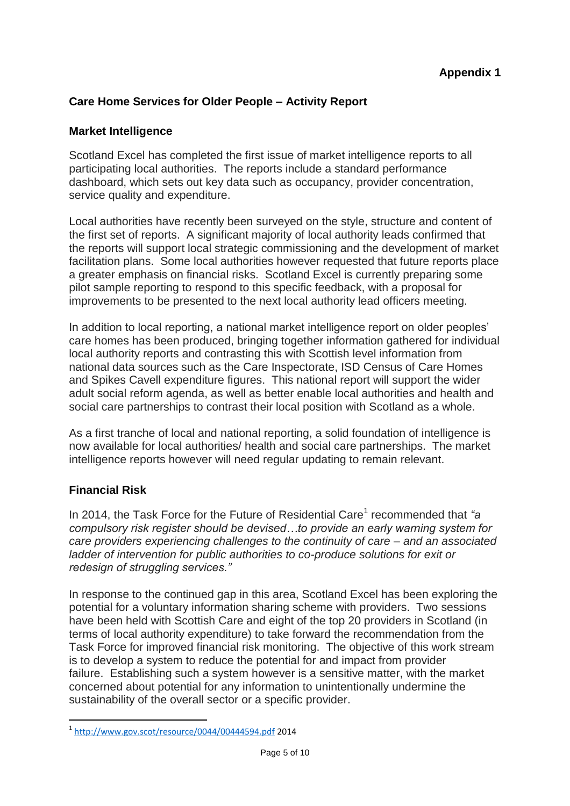### **Care Home Services for Older People – Activity Report**

### **Market Intelligence**

Scotland Excel has completed the first issue of market intelligence reports to all participating local authorities. The reports include a standard performance dashboard, which sets out key data such as occupancy, provider concentration, service quality and expenditure.

Local authorities have recently been surveyed on the style, structure and content of the first set of reports. A significant majority of local authority leads confirmed that the reports will support local strategic commissioning and the development of market facilitation plans. Some local authorities however requested that future reports place a greater emphasis on financial risks. Scotland Excel is currently preparing some pilot sample reporting to respond to this specific feedback, with a proposal for improvements to be presented to the next local authority lead officers meeting.

In addition to local reporting, a national market intelligence report on older peoples' care homes has been produced, bringing together information gathered for individual local authority reports and contrasting this with Scottish level information from national data sources such as the Care Inspectorate, ISD Census of Care Homes and Spikes Cavell expenditure figures. This national report will support the wider adult social reform agenda, as well as better enable local authorities and health and social care partnerships to contrast their local position with Scotland as a whole.

As a first tranche of local and national reporting, a solid foundation of intelligence is now available for local authorities/ health and social care partnerships. The market intelligence reports however will need regular updating to remain relevant.

### **Financial Risk**

In 2014, the Task Force for the Future of Residential Care<sup>1</sup> recommended that "a *compulsory risk register should be devised…to provide an early warning system for care providers experiencing challenges to the continuity of care – and an associated ladder of intervention for public authorities to co-produce solutions for exit or redesign of struggling services."*

In response to the continued gap in this area, Scotland Excel has been exploring the potential for a voluntary information sharing scheme with providers. Two sessions have been held with Scottish Care and eight of the top 20 providers in Scotland (in terms of local authority expenditure) to take forward the recommendation from the Task Force for improved financial risk monitoring. The objective of this work stream is to develop a system to reduce the potential for and impact from provider failure. Establishing such a system however is a sensitive matter, with the market concerned about potential for any information to unintentionally undermine the sustainability of the overall sector or a specific provider.

 1 <http://www.gov.scot/resource/0044/00444594.pdf> 2014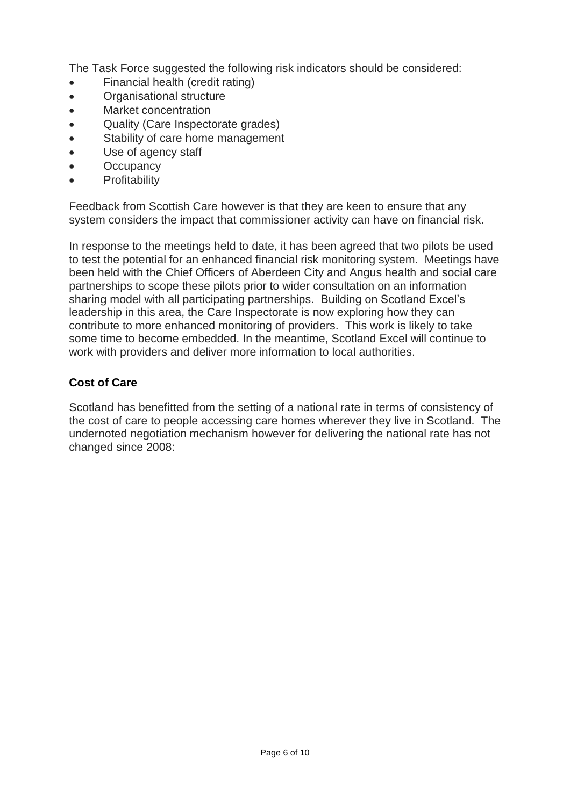The Task Force suggested the following risk indicators should be considered:

- Financial health (credit rating)
- Organisational structure
- Market concentration
- Quality (Care Inspectorate grades)
- Stability of care home management
- Use of agency staff
- **Occupancy**
- **Profitability**

Feedback from Scottish Care however is that they are keen to ensure that any system considers the impact that commissioner activity can have on financial risk.

In response to the meetings held to date, it has been agreed that two pilots be used to test the potential for an enhanced financial risk monitoring system. Meetings have been held with the Chief Officers of Aberdeen City and Angus health and social care partnerships to scope these pilots prior to wider consultation on an information sharing model with all participating partnerships. Building on Scotland Excel's leadership in this area, the Care Inspectorate is now exploring how they can contribute to more enhanced monitoring of providers. This work is likely to take some time to become embedded. In the meantime, Scotland Excel will continue to work with providers and deliver more information to local authorities.

# **Cost of Care**

Scotland has benefitted from the setting of a national rate in terms of consistency of the cost of care to people accessing care homes wherever they live in Scotland. The undernoted negotiation mechanism however for delivering the national rate has not changed since 2008: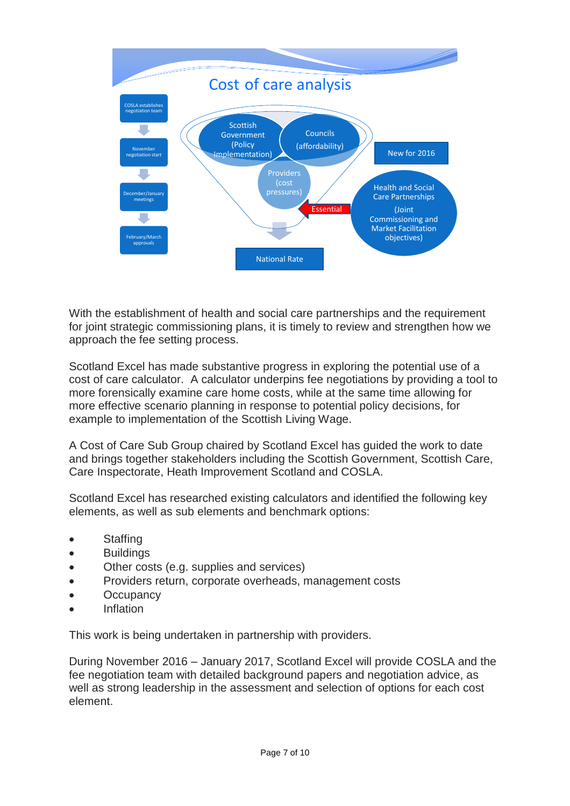

With the establishment of health and social care partnerships and the requirement for joint strategic commissioning plans, it is timely to review and strengthen how we approach the fee setting process.

Scotland Excel has made substantive progress in exploring the potential use of a cost of care calculator. A calculator underpins fee negotiations by providing a tool to more forensically examine care home costs, while at the same time allowing for more effective scenario planning in response to potential policy decisions, for example to implementation of the Scottish Living Wage.

A Cost of Care Sub Group chaired by Scotland Excel has guided the work to date and brings together stakeholders including the Scottish Government, Scottish Care, Care Inspectorate, Heath Improvement Scotland and COSLA.

Scotland Excel has researched existing calculators and identified the following key elements, as well as sub elements and benchmark options:

- Staffing
- **Buildings**
- Other costs (e.g. supplies and services)
- Providers return, corporate overheads, management costs
- **Occupancy**
- Inflation

This work is being undertaken in partnership with providers.

During November 2016 – January 2017, Scotland Excel will provide COSLA and the fee negotiation team with detailed background papers and negotiation advice, as well as strong leadership in the assessment and selection of options for each cost element.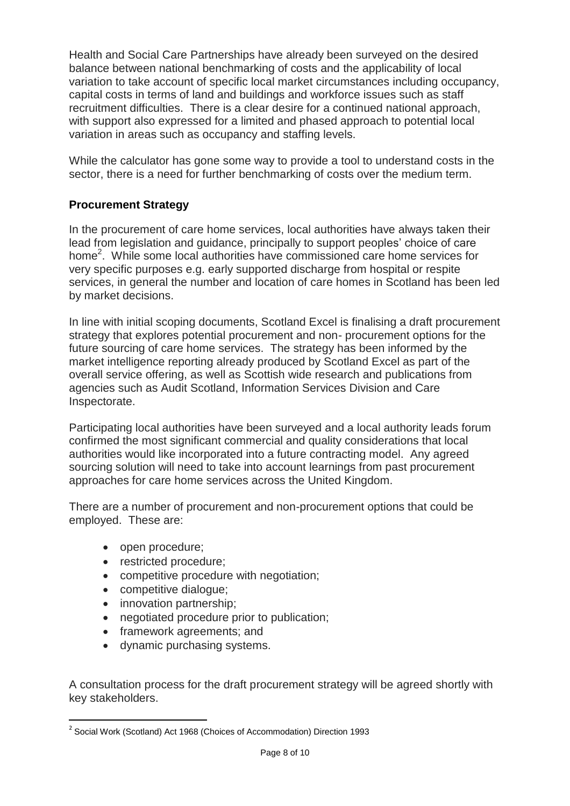Health and Social Care Partnerships have already been surveyed on the desired balance between national benchmarking of costs and the applicability of local variation to take account of specific local market circumstances including occupancy, capital costs in terms of land and buildings and workforce issues such as staff recruitment difficulties. There is a clear desire for a continued national approach, with support also expressed for a limited and phased approach to potential local variation in areas such as occupancy and staffing levels.

While the calculator has gone some way to provide a tool to understand costs in the sector, there is a need for further benchmarking of costs over the medium term.

# **Procurement Strategy**

In the procurement of care home services, local authorities have always taken their lead from legislation and guidance, principally to support peoples' choice of care home<sup>2</sup>. While some local authorities have commissioned care home services for very specific purposes e.g. early supported discharge from hospital or respite services, in general the number and location of care homes in Scotland has been led by market decisions.

In line with initial scoping documents, Scotland Excel is finalising a draft procurement strategy that explores potential procurement and non- procurement options for the future sourcing of care home services. The strategy has been informed by the market intelligence reporting already produced by Scotland Excel as part of the overall service offering, as well as Scottish wide research and publications from agencies such as Audit Scotland, Information Services Division and Care Inspectorate.

Participating local authorities have been surveyed and a local authority leads forum confirmed the most significant commercial and quality considerations that local authorities would like incorporated into a future contracting model. Any agreed sourcing solution will need to take into account learnings from past procurement approaches for care home services across the United Kingdom.

There are a number of procurement and non-procurement options that could be employed. These are:

- open procedure;
- restricted procedure;
- competitive procedure with negotiation;
- competitive dialogue;
- innovation partnership;
- negotiated procedure prior to publication;
- framework agreements; and
- dynamic purchasing systems.

A consultation process for the draft procurement strategy will be agreed shortly with key stakeholders.

 $\overline{a}$ <sup>2</sup> Social Work (Scotland) Act 1968 (Choices of Accommodation) Direction 1993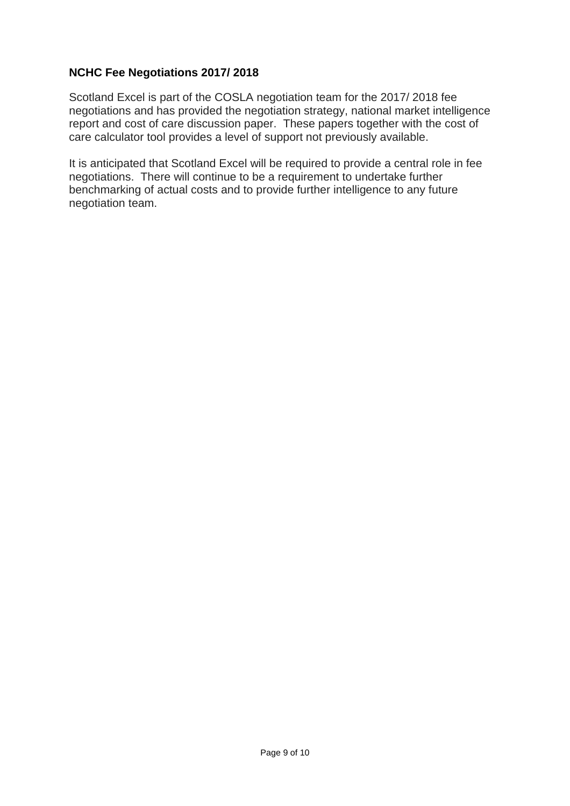### **NCHC Fee Negotiations 2017/ 2018**

Scotland Excel is part of the COSLA negotiation team for the 2017/ 2018 fee negotiations and has provided the negotiation strategy, national market intelligence report and cost of care discussion paper. These papers together with the cost of care calculator tool provides a level of support not previously available.

It is anticipated that Scotland Excel will be required to provide a central role in fee negotiations. There will continue to be a requirement to undertake further benchmarking of actual costs and to provide further intelligence to any future negotiation team.